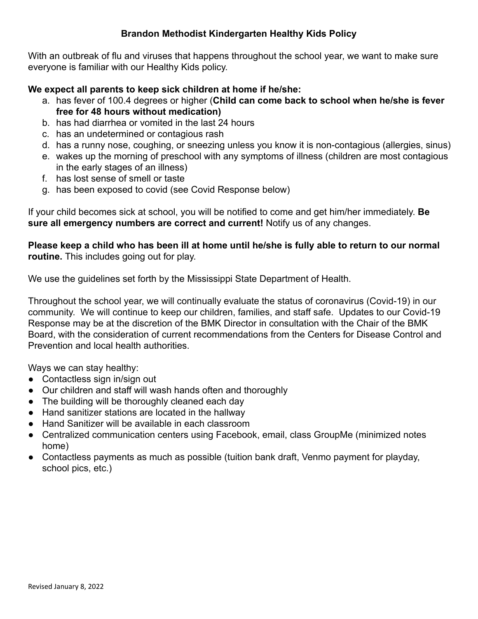## **Brandon Methodist Kindergarten Healthy Kids Policy**

With an outbreak of flu and viruses that happens throughout the school year, we want to make sure everyone is familiar with our Healthy Kids policy.

## **We expect all parents to keep sick children at home if he/she:**

- a. has fever of 100.4 degrees or higher (**Child can come back to school when he/she is fever free for 48 hours without medication)**
- b. has had diarrhea or vomited in the last 24 hours
- c. has an undetermined or contagious rash
- d. has a runny nose, coughing, or sneezing unless you know it is non-contagious (allergies, sinus)
- e. wakes up the morning of preschool with any symptoms of illness (children are most contagious in the early stages of an illness)
- f. has lost sense of smell or taste
- g. has been exposed to covid (see Covid Response below)

If your child becomes sick at school, you will be notified to come and get him/her immediately. **Be sure all emergency numbers are correct and current!** Notify us of any changes.

**Please keep a child who has been ill at home until he/she is fully able to return to our normal routine.** This includes going out for play.

We use the guidelines set forth by the Mississippi State Department of Health.

Throughout the school year, we will continually evaluate the status of coronavirus (Covid-19) in our community. We will continue to keep our children, families, and staff safe. Updates to our Covid-19 Response may be at the discretion of the BMK Director in consultation with the Chair of the BMK Board, with the consideration of current recommendations from the Centers for Disease Control and Prevention and local health authorities.

Ways we can stay healthy:

- Contactless sign in/sign out
- Our children and staff will wash hands often and thoroughly
- The building will be thoroughly cleaned each day
- Hand sanitizer stations are located in the hallway
- Hand Sanitizer will be available in each classroom
- Centralized communication centers using Facebook, email, class GroupMe (minimized notes home)
- Contactless payments as much as possible (tuition bank draft, Venmo payment for playday, school pics, etc.)